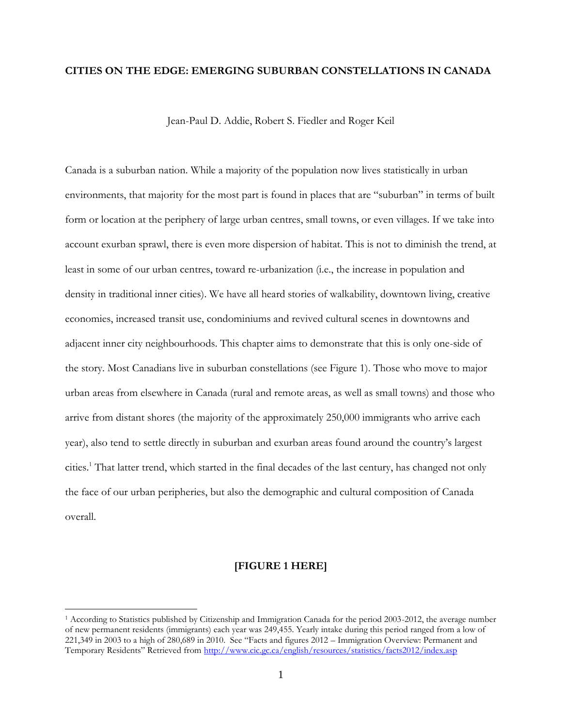## **CITIES ON THE EDGE: EMERGING SUBURBAN CONSTELLATIONS IN CANADA**

Jean-Paul D. Addie, Robert S. Fiedler and Roger Keil

Canada is a suburban nation. While a majority of the population now lives statistically in urban environments, that majority for the most part is found in places that are "suburban" in terms of built form or location at the periphery of large urban centres, small towns, or even villages. If we take into account exurban sprawl, there is even more dispersion of habitat. This is not to diminish the trend, at least in some of our urban centres, toward re-urbanization (i.e., the increase in population and density in traditional inner cities). We have all heard stories of walkability, downtown living, creative economies, increased transit use, condominiums and revived cultural scenes in downtowns and adjacent inner city neighbourhoods. This chapter aims to demonstrate that this is only one-side of the story. Most Canadians live in suburban constellations (see Figure 1). Those who move to major urban areas from elsewhere in Canada (rural and remote areas, as well as small towns) and those who arrive from distant shores (the majority of the approximately 250,000 immigrants who arrive each year), also tend to settle directly in suburban and exurban areas found around the country's largest cities.<sup>1</sup> That latter trend, which started in the final decades of the last century, has changed not only the face of our urban peripheries, but also the demographic and cultural composition of Canada overall.

#### **[FIGURE 1 HERE]**

 $\overline{a}$ 

<sup>1</sup> According to Statistics published by Citizenship and Immigration Canada for the period 2003-2012, the average number of new permanent residents (immigrants) each year was 249,455. Yearly intake during this period ranged from a low of 221,349 in 2003 to a high of 280,689 in 2010. See "Facts and figures 2012 – Immigration Overview: Permanent and Temporary Residents" Retrieved from <http://www.cic.gc.ca/english/resources/statistics/facts2012/index.asp>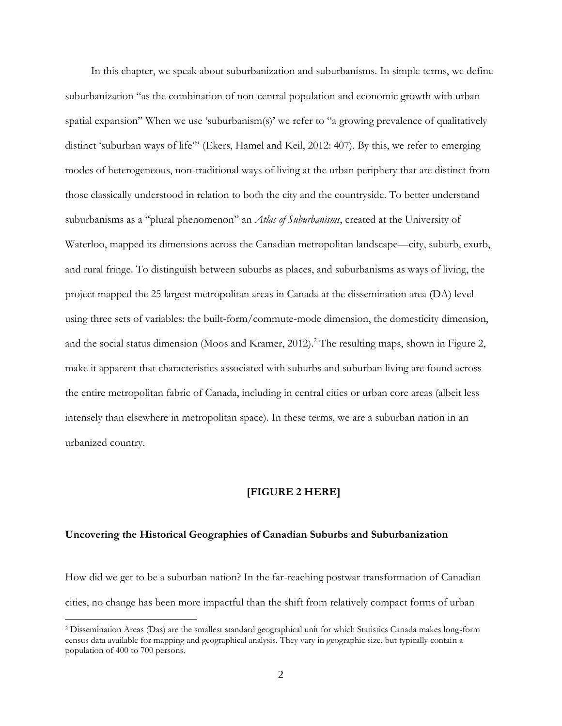In this chapter, we speak about suburbanization and suburbanisms. In simple terms, we define suburbanization "as the combination of non-central population and economic growth with urban spatial expansion" When we use 'suburbanism(s)' we refer to "a growing prevalence of qualitatively distinct 'suburban ways of life'" (Ekers, Hamel and Keil, 2012: 407). By this, we refer to emerging modes of heterogeneous, non-traditional ways of living at the urban periphery that are distinct from those classically understood in relation to both the city and the countryside. To better understand suburbanisms as a "plural phenomenon" an *Atlas of Suburbanisms*, created at the University of Waterloo, mapped its dimensions across the Canadian metropolitan landscape—city, suburb, exurb, and rural fringe. To distinguish between suburbs as places, and suburbanisms as ways of living, the project mapped the 25 largest metropolitan areas in Canada at the dissemination area (DA) level using three sets of variables: the built-form/commute-mode dimension, the domesticity dimension, and the social status dimension (Moos and Kramer, 2012). <sup>2</sup> The resulting maps, shown in Figure 2, make it apparent that characteristics associated with suburbs and suburban living are found across the entire metropolitan fabric of Canada, including in central cities or urban core areas (albeit less intensely than elsewhere in metropolitan space). In these terms, we are a suburban nation in an urbanized country.

## **[FIGURE 2 HERE]**

#### **Uncovering the Historical Geographies of Canadian Suburbs and Suburbanization**

 $\overline{a}$ 

How did we get to be a suburban nation? In the far-reaching postwar transformation of Canadian cities, no change has been more impactful than the shift from relatively compact forms of urban

<sup>2</sup> Dissemination Areas (Das) are the smallest standard geographical unit for which Statistics Canada makes long-form census data available for mapping and geographical analysis. They vary in geographic size, but typically contain a population of 400 to 700 persons.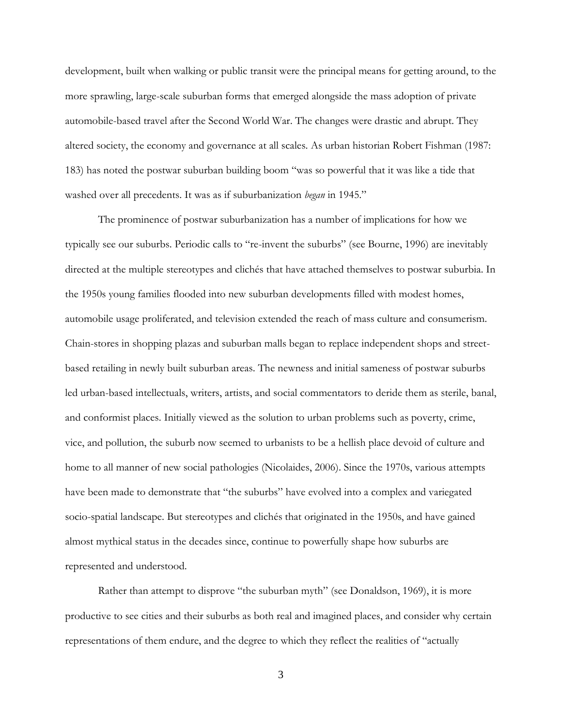development, built when walking or public transit were the principal means for getting around, to the more sprawling, large-scale suburban forms that emerged alongside the mass adoption of private automobile-based travel after the Second World War. The changes were drastic and abrupt. They altered society, the economy and governance at all scales. As urban historian Robert Fishman (1987: 183) has noted the postwar suburban building boom "was so powerful that it was like a tide that washed over all precedents. It was as if suburbanization *began* in 1945."

The prominence of postwar suburbanization has a number of implications for how we typically see our suburbs. Periodic calls to "re-invent the suburbs" (see Bourne, 1996) are inevitably directed at the multiple stereotypes and clichés that have attached themselves to postwar suburbia. In the 1950s young families flooded into new suburban developments filled with modest homes, automobile usage proliferated, and television extended the reach of mass culture and consumerism. Chain-stores in shopping plazas and suburban malls began to replace independent shops and streetbased retailing in newly built suburban areas. The newness and initial sameness of postwar suburbs led urban-based intellectuals, writers, artists, and social commentators to deride them as sterile, banal, and conformist places. Initially viewed as the solution to urban problems such as poverty, crime, vice, and pollution, the suburb now seemed to urbanists to be a hellish place devoid of culture and home to all manner of new social pathologies (Nicolaides, 2006). Since the 1970s, various attempts have been made to demonstrate that "the suburbs" have evolved into a complex and variegated socio-spatial landscape. But stereotypes and clichés that originated in the 1950s, and have gained almost mythical status in the decades since, continue to powerfully shape how suburbs are represented and understood.

Rather than attempt to disprove "the suburban myth" (see Donaldson, 1969), it is more productive to see cities and their suburbs as both real and imagined places, and consider why certain representations of them endure, and the degree to which they reflect the realities of "actually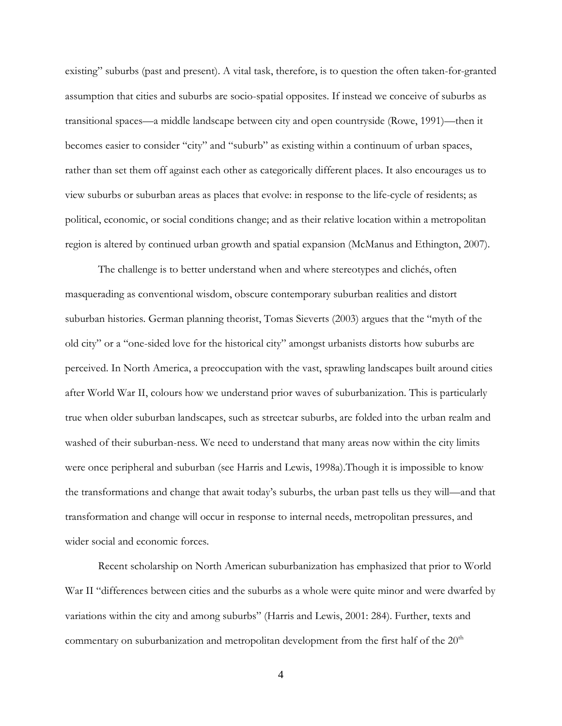existing" suburbs (past and present). A vital task, therefore, is to question the often taken-for-granted assumption that cities and suburbs are socio-spatial opposites. If instead we conceive of suburbs as transitional spaces—a middle landscape between city and open countryside (Rowe, 1991)—then it becomes easier to consider "city" and "suburb" as existing within a continuum of urban spaces, rather than set them off against each other as categorically different places. It also encourages us to view suburbs or suburban areas as places that evolve: in response to the life-cycle of residents; as political, economic, or social conditions change; and as their relative location within a metropolitan region is altered by continued urban growth and spatial expansion (McManus and Ethington, 2007).

The challenge is to better understand when and where stereotypes and clichés, often masquerading as conventional wisdom, obscure contemporary suburban realities and distort suburban histories. German planning theorist, Tomas Sieverts (2003) argues that the "myth of the old city" or a "one-sided love for the historical city" amongst urbanists distorts how suburbs are perceived. In North America, a preoccupation with the vast, sprawling landscapes built around cities after World War II, colours how we understand prior waves of suburbanization. This is particularly true when older suburban landscapes, such as streetcar suburbs, are folded into the urban realm and washed of their suburban-ness. We need to understand that many areas now within the city limits were once peripheral and suburban (see Harris and Lewis, 1998a).Though it is impossible to know the transformations and change that await today's suburbs, the urban past tells us they will—and that transformation and change will occur in response to internal needs, metropolitan pressures, and wider social and economic forces.

Recent scholarship on North American suburbanization has emphasized that prior to World War II "differences between cities and the suburbs as a whole were quite minor and were dwarfed by variations within the city and among suburbs" (Harris and Lewis, 2001: 284). Further, texts and commentary on suburbanization and metropolitan development from the first half of the 20<sup>th</sup>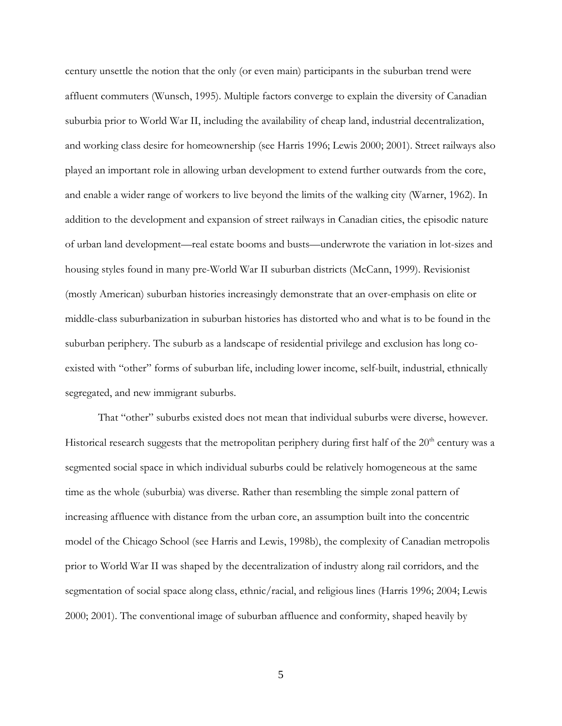century unsettle the notion that the only (or even main) participants in the suburban trend were affluent commuters (Wunsch, 1995). Multiple factors converge to explain the diversity of Canadian suburbia prior to World War II, including the availability of cheap land, industrial decentralization, and working class desire for homeownership (see Harris 1996; Lewis 2000; 2001). Street railways also played an important role in allowing urban development to extend further outwards from the core, and enable a wider range of workers to live beyond the limits of the walking city (Warner, 1962). In addition to the development and expansion of street railways in Canadian cities, the episodic nature of urban land development—real estate booms and busts—underwrote the variation in lot-sizes and housing styles found in many pre-World War II suburban districts (McCann, 1999). Revisionist (mostly American) suburban histories increasingly demonstrate that an over-emphasis on elite or middle-class suburbanization in suburban histories has distorted who and what is to be found in the suburban periphery. The suburb as a landscape of residential privilege and exclusion has long coexisted with "other" forms of suburban life, including lower income, self-built, industrial, ethnically segregated, and new immigrant suburbs.

That "other" suburbs existed does not mean that individual suburbs were diverse, however. Historical research suggests that the metropolitan periphery during first half of the  $20<sup>th</sup>$  century was a segmented social space in which individual suburbs could be relatively homogeneous at the same time as the whole (suburbia) was diverse. Rather than resembling the simple zonal pattern of increasing affluence with distance from the urban core, an assumption built into the concentric model of the Chicago School (see Harris and Lewis, 1998b), the complexity of Canadian metropolis prior to World War II was shaped by the decentralization of industry along rail corridors, and the segmentation of social space along class, ethnic/racial, and religious lines (Harris 1996; 2004; Lewis 2000; 2001). The conventional image of suburban affluence and conformity, shaped heavily by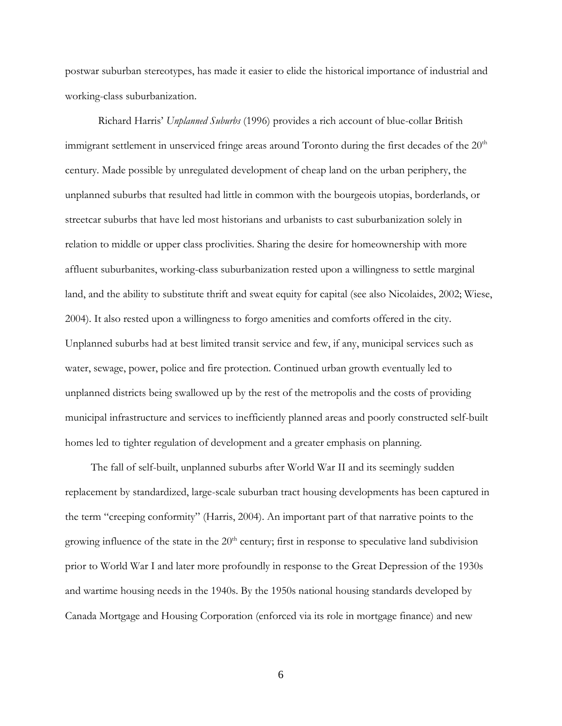postwar suburban stereotypes, has made it easier to elide the historical importance of industrial and working-class suburbanization.

Richard Harris' *Unplanned Suburbs* (1996) provides a rich account of blue-collar British immigrant settlement in unserviced fringe areas around Toronto during the first decades of the 20<sup>th</sup> century. Made possible by unregulated development of cheap land on the urban periphery, the unplanned suburbs that resulted had little in common with the bourgeois utopias, borderlands, or streetcar suburbs that have led most historians and urbanists to cast suburbanization solely in relation to middle or upper class proclivities. Sharing the desire for homeownership with more affluent suburbanites, working-class suburbanization rested upon a willingness to settle marginal land, and the ability to substitute thrift and sweat equity for capital (see also Nicolaides, 2002; Wiese, 2004). It also rested upon a willingness to forgo amenities and comforts offered in the city. Unplanned suburbs had at best limited transit service and few, if any, municipal services such as water, sewage, power, police and fire protection. Continued urban growth eventually led to unplanned districts being swallowed up by the rest of the metropolis and the costs of providing municipal infrastructure and services to inefficiently planned areas and poorly constructed self-built homes led to tighter regulation of development and a greater emphasis on planning.

The fall of self-built, unplanned suburbs after World War II and its seemingly sudden replacement by standardized, large-scale suburban tract housing developments has been captured in the term "creeping conformity" (Harris, 2004). An important part of that narrative points to the growing influence of the state in the  $20<sup>th</sup>$  century; first in response to speculative land subdivision prior to World War I and later more profoundly in response to the Great Depression of the 1930s and wartime housing needs in the 1940s. By the 1950s national housing standards developed by Canada Mortgage and Housing Corporation (enforced via its role in mortgage finance) and new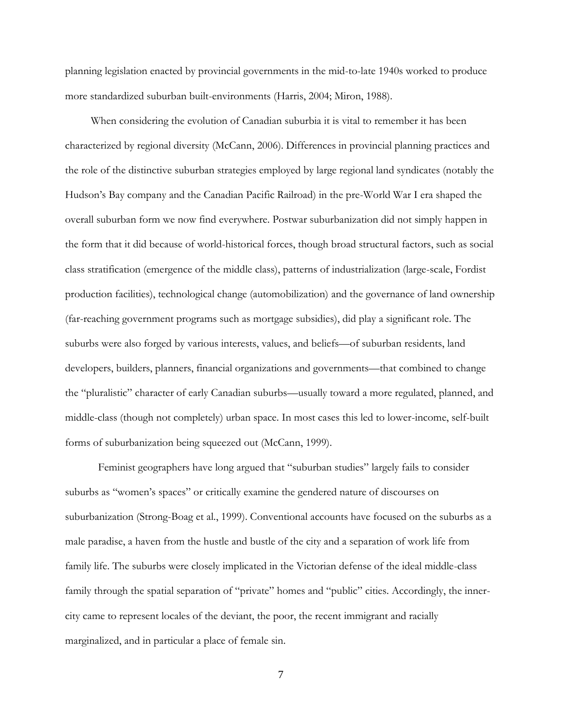planning legislation enacted by provincial governments in the mid-to-late 1940s worked to produce more standardized suburban built-environments (Harris, 2004; Miron, 1988).

When considering the evolution of Canadian suburbia it is vital to remember it has been characterized by regional diversity (McCann, 2006). Differences in provincial planning practices and the role of the distinctive suburban strategies employed by large regional land syndicates (notably the Hudson's Bay company and the Canadian Pacific Railroad) in the pre-World War I era shaped the overall suburban form we now find everywhere. Postwar suburbanization did not simply happen in the form that it did because of world-historical forces, though broad structural factors, such as social class stratification (emergence of the middle class), patterns of industrialization (large-scale, Fordist production facilities), technological change (automobilization) and the governance of land ownership (far-reaching government programs such as mortgage subsidies), did play a significant role. The suburbs were also forged by various interests, values, and beliefs—of suburban residents, land developers, builders, planners, financial organizations and governments—that combined to change the "pluralistic" character of early Canadian suburbs—usually toward a more regulated, planned, and middle-class (though not completely) urban space. In most cases this led to lower-income, self-built forms of suburbanization being squeezed out (McCann, 1999).

Feminist geographers have long argued that "suburban studies" largely fails to consider suburbs as "women's spaces" or critically examine the gendered nature of discourses on suburbanization (Strong-Boag et al., 1999). Conventional accounts have focused on the suburbs as a male paradise, a haven from the hustle and bustle of the city and a separation of work life from family life. The suburbs were closely implicated in the Victorian defense of the ideal middle-class family through the spatial separation of "private" homes and "public" cities. Accordingly, the innercity came to represent locales of the deviant, the poor, the recent immigrant and racially marginalized, and in particular a place of female sin.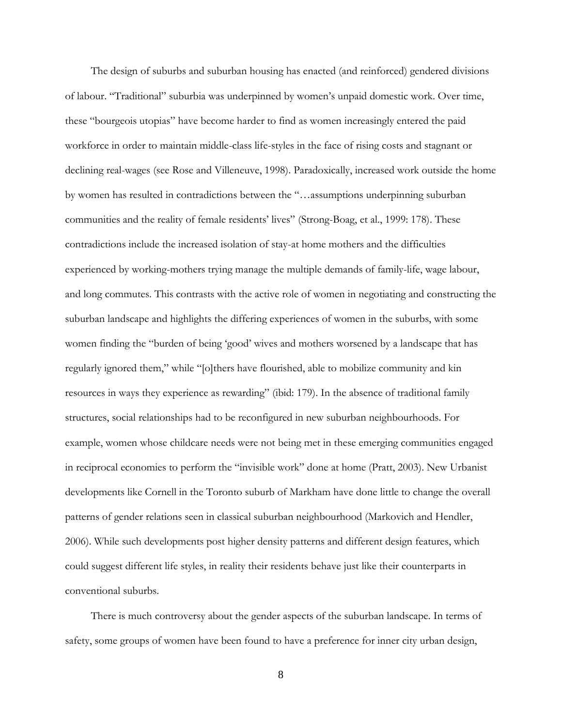The design of suburbs and suburban housing has enacted (and reinforced) gendered divisions of labour. "Traditional" suburbia was underpinned by women's unpaid domestic work. Over time, these "bourgeois utopias" have become harder to find as women increasingly entered the paid workforce in order to maintain middle-class life-styles in the face of rising costs and stagnant or declining real-wages (see Rose and Villeneuve, 1998). Paradoxically, increased work outside the home by women has resulted in contradictions between the "…assumptions underpinning suburban communities and the reality of female residents' lives" (Strong-Boag, et al., 1999: 178). These contradictions include the increased isolation of stay-at home mothers and the difficulties experienced by working-mothers trying manage the multiple demands of family-life, wage labour, and long commutes. This contrasts with the active role of women in negotiating and constructing the suburban landscape and highlights the differing experiences of women in the suburbs, with some women finding the "burden of being 'good' wives and mothers worsened by a landscape that has regularly ignored them," while "[o]thers have flourished, able to mobilize community and kin resources in ways they experience as rewarding" (ibid: 179). In the absence of traditional family structures, social relationships had to be reconfigured in new suburban neighbourhoods. For example, women whose childcare needs were not being met in these emerging communities engaged in reciprocal economies to perform the "invisible work" done at home (Pratt, 2003). New Urbanist developments like Cornell in the Toronto suburb of Markham have done little to change the overall patterns of gender relations seen in classical suburban neighbourhood (Markovich and Hendler, 2006). While such developments post higher density patterns and different design features, which could suggest different life styles, in reality their residents behave just like their counterparts in conventional suburbs.

There is much controversy about the gender aspects of the suburban landscape. In terms of safety, some groups of women have been found to have a preference for inner city urban design,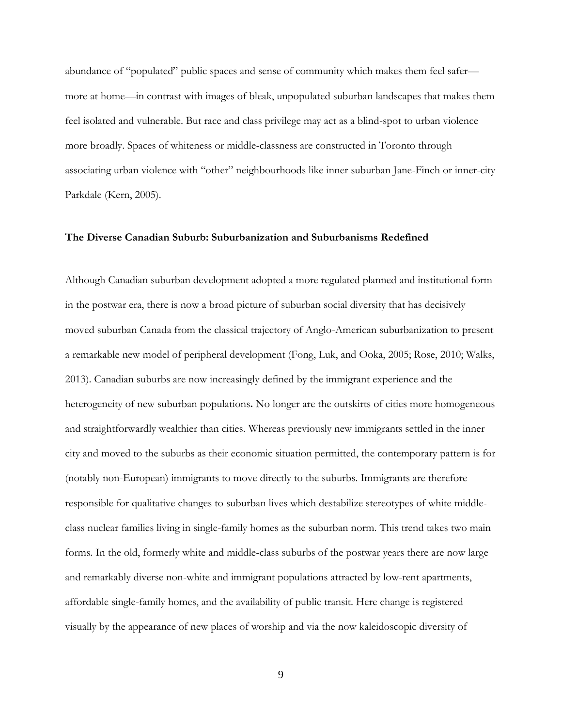abundance of "populated" public spaces and sense of community which makes them feel safer more at home—in contrast with images of bleak, unpopulated suburban landscapes that makes them feel isolated and vulnerable. But race and class privilege may act as a blind-spot to urban violence more broadly. Spaces of whiteness or middle-classness are constructed in Toronto through associating urban violence with "other" neighbourhoods like inner suburban Jane-Finch or inner-city Parkdale (Kern, 2005).

### **The Diverse Canadian Suburb: Suburbanization and Suburbanisms Redefined**

Although Canadian suburban development adopted a more regulated planned and institutional form in the postwar era, there is now a broad picture of suburban social diversity that has decisively moved suburban Canada from the classical trajectory of Anglo-American suburbanization to present a remarkable new model of peripheral development (Fong, Luk, and Ooka, 2005; Rose, 2010; Walks, 2013). Canadian suburbs are now increasingly defined by the immigrant experience and the heterogeneity of new suburban populations**.** No longer are the outskirts of cities more homogeneous and straightforwardly wealthier than cities. Whereas previously new immigrants settled in the inner city and moved to the suburbs as their economic situation permitted, the contemporary pattern is for (notably non-European) immigrants to move directly to the suburbs. Immigrants are therefore responsible for qualitative changes to suburban lives which destabilize stereotypes of white middleclass nuclear families living in single-family homes as the suburban norm. This trend takes two main forms. In the old, formerly white and middle-class suburbs of the postwar years there are now large and remarkably diverse non-white and immigrant populations attracted by low-rent apartments, affordable single-family homes, and the availability of public transit. Here change is registered visually by the appearance of new places of worship and via the now kaleidoscopic diversity of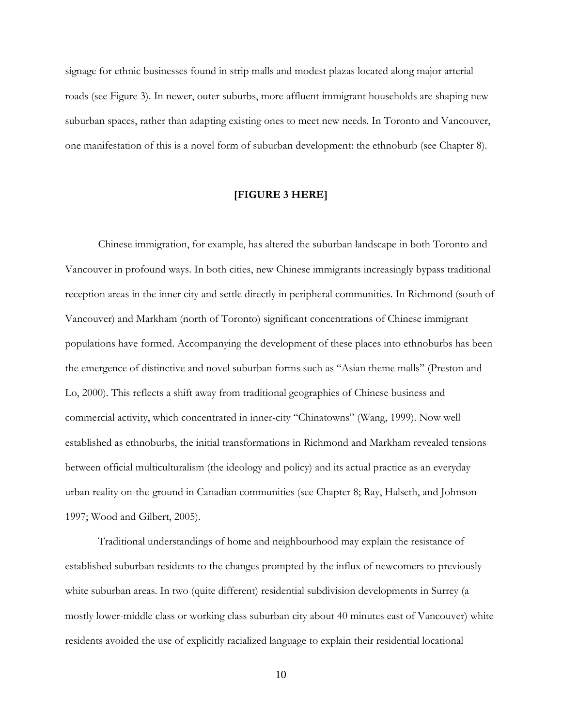signage for ethnic businesses found in strip malls and modest plazas located along major arterial roads (see Figure 3). In newer, outer suburbs, more affluent immigrant households are shaping new suburban spaces, rather than adapting existing ones to meet new needs. In Toronto and Vancouver, one manifestation of this is a novel form of suburban development: the ethnoburb (see Chapter 8).

#### **[FIGURE 3 HERE]**

Chinese immigration, for example, has altered the suburban landscape in both Toronto and Vancouver in profound ways. In both cities, new Chinese immigrants increasingly bypass traditional reception areas in the inner city and settle directly in peripheral communities. In Richmond (south of Vancouver) and Markham (north of Toronto) significant concentrations of Chinese immigrant populations have formed. Accompanying the development of these places into ethnoburbs has been the emergence of distinctive and novel suburban forms such as "Asian theme malls" (Preston and Lo, 2000). This reflects a shift away from traditional geographies of Chinese business and commercial activity, which concentrated in inner-city "Chinatowns" (Wang, 1999). Now well established as ethnoburbs, the initial transformations in Richmond and Markham revealed tensions between official multiculturalism (the ideology and policy) and its actual practice as an everyday urban reality on-the-ground in Canadian communities (see Chapter 8; Ray, Halseth, and Johnson 1997; Wood and Gilbert, 2005).

Traditional understandings of home and neighbourhood may explain the resistance of established suburban residents to the changes prompted by the influx of newcomers to previously white suburban areas. In two (quite different) residential subdivision developments in Surrey (a mostly lower-middle class or working class suburban city about 40 minutes east of Vancouver) white residents avoided the use of explicitly racialized language to explain their residential locational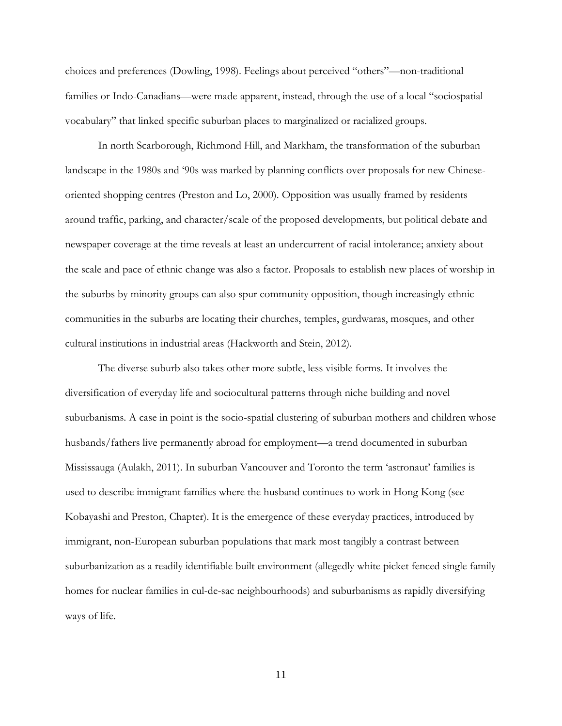choices and preferences (Dowling, 1998). Feelings about perceived "others"—non-traditional families or Indo-Canadians—were made apparent, instead, through the use of a local "sociospatial vocabulary" that linked specific suburban places to marginalized or racialized groups.

In north Scarborough, Richmond Hill, and Markham, the transformation of the suburban landscape in the 1980s and '90s was marked by planning conflicts over proposals for new Chineseoriented shopping centres (Preston and Lo, 2000). Opposition was usually framed by residents around traffic, parking, and character/scale of the proposed developments, but political debate and newspaper coverage at the time reveals at least an undercurrent of racial intolerance; anxiety about the scale and pace of ethnic change was also a factor. Proposals to establish new places of worship in the suburbs by minority groups can also spur community opposition, though increasingly ethnic communities in the suburbs are locating their churches, temples, gurdwaras, mosques, and other cultural institutions in industrial areas (Hackworth and Stein, 2012).

The diverse suburb also takes other more subtle, less visible forms. It involves the diversification of everyday life and sociocultural patterns through niche building and novel suburbanisms. A case in point is the socio-spatial clustering of suburban mothers and children whose husbands/fathers live permanently abroad for employment—a trend documented in suburban Mississauga (Aulakh, 2011). In suburban Vancouver and Toronto the term 'astronaut' families is used to describe immigrant families where the husband continues to work in Hong Kong (see Kobayashi and Preston, Chapter). It is the emergence of these everyday practices, introduced by immigrant, non-European suburban populations that mark most tangibly a contrast between suburbanization as a readily identifiable built environment (allegedly white picket fenced single family homes for nuclear families in cul-de-sac neighbourhoods) and suburbanisms as rapidly diversifying ways of life.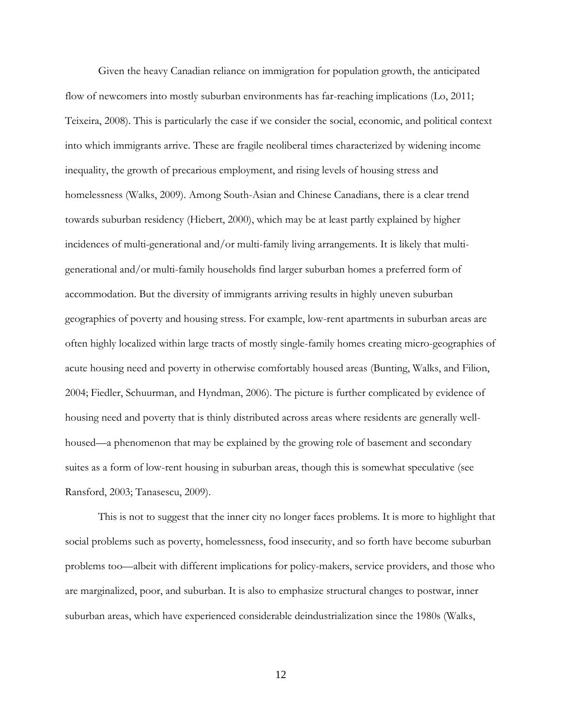Given the heavy Canadian reliance on immigration for population growth, the anticipated flow of newcomers into mostly suburban environments has far-reaching implications (Lo, 2011; Teixeira, 2008). This is particularly the case if we consider the social, economic, and political context into which immigrants arrive. These are fragile neoliberal times characterized by widening income inequality, the growth of precarious employment, and rising levels of housing stress and homelessness (Walks, 2009). Among South-Asian and Chinese Canadians, there is a clear trend towards suburban residency (Hiebert, 2000), which may be at least partly explained by higher incidences of multi-generational and/or multi-family living arrangements. It is likely that multigenerational and/or multi-family households find larger suburban homes a preferred form of accommodation. But the diversity of immigrants arriving results in highly uneven suburban geographies of poverty and housing stress. For example, low-rent apartments in suburban areas are often highly localized within large tracts of mostly single-family homes creating micro-geographies of acute housing need and poverty in otherwise comfortably housed areas (Bunting, Walks, and Filion, 2004; Fiedler, Schuurman, and Hyndman, 2006). The picture is further complicated by evidence of housing need and poverty that is thinly distributed across areas where residents are generally wellhoused—a phenomenon that may be explained by the growing role of basement and secondary suites as a form of low-rent housing in suburban areas, though this is somewhat speculative (see Ransford, 2003; Tanasescu, 2009).

This is not to suggest that the inner city no longer faces problems. It is more to highlight that social problems such as poverty, homelessness, food insecurity, and so forth have become suburban problems too—albeit with different implications for policy-makers, service providers, and those who are marginalized, poor, and suburban. It is also to emphasize structural changes to postwar, inner suburban areas, which have experienced considerable deindustrialization since the 1980s (Walks,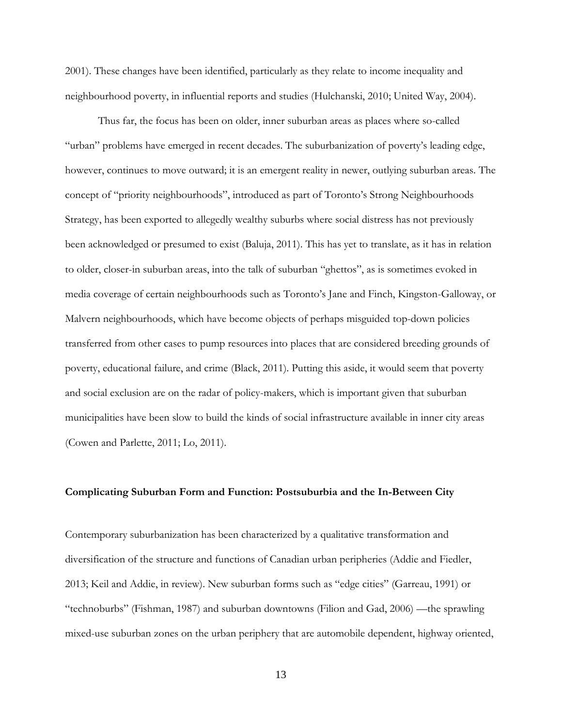2001). These changes have been identified, particularly as they relate to income inequality and neighbourhood poverty, in influential reports and studies (Hulchanski, 2010; United Way, 2004).

Thus far, the focus has been on older, inner suburban areas as places where so-called "urban" problems have emerged in recent decades. The suburbanization of poverty's leading edge, however, continues to move outward; it is an emergent reality in newer, outlying suburban areas. The concept of "priority neighbourhoods", introduced as part of Toronto's Strong Neighbourhoods Strategy, has been exported to allegedly wealthy suburbs where social distress has not previously been acknowledged or presumed to exist (Baluja, 2011). This has yet to translate, as it has in relation to older, closer-in suburban areas, into the talk of suburban "ghettos", as is sometimes evoked in media coverage of certain neighbourhoods such as Toronto's Jane and Finch, Kingston-Galloway, or Malvern neighbourhoods, which have become objects of perhaps misguided top-down policies transferred from other cases to pump resources into places that are considered breeding grounds of poverty, educational failure, and crime (Black, 2011). Putting this aside, it would seem that poverty and social exclusion are on the radar of policy-makers, which is important given that suburban municipalities have been slow to build the kinds of social infrastructure available in inner city areas (Cowen and Parlette, 2011; Lo, 2011).

#### **Complicating Suburban Form and Function: Postsuburbia and the In-Between City**

Contemporary suburbanization has been characterized by a qualitative transformation and diversification of the structure and functions of Canadian urban peripheries (Addie and Fiedler, 2013; Keil and Addie, in review). New suburban forms such as "edge cities" (Garreau, 1991) or "technoburbs" (Fishman, 1987) and suburban downtowns (Filion and Gad, 2006) —the sprawling mixed-use suburban zones on the urban periphery that are automobile dependent, highway oriented,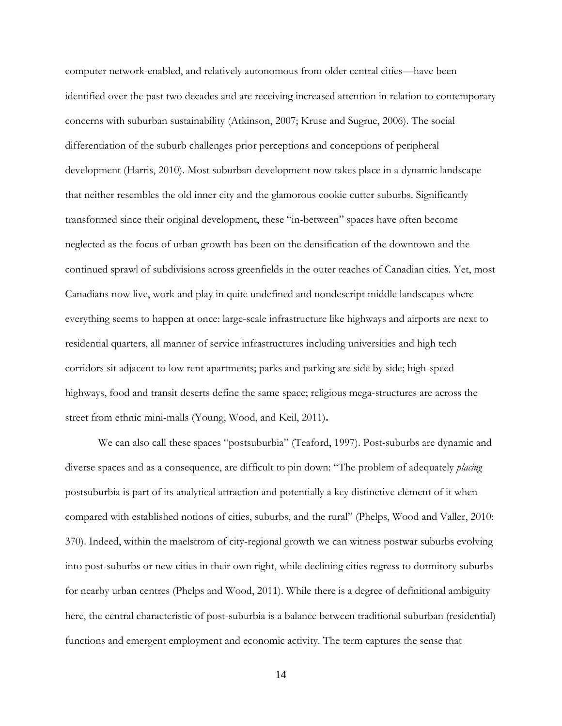computer network-enabled, and relatively autonomous from older central cities—have been identified over the past two decades and are receiving increased attention in relation to contemporary concerns with suburban sustainability (Atkinson, 2007; Kruse and Sugrue, 2006). The social differentiation of the suburb challenges prior perceptions and conceptions of peripheral development (Harris, 2010). Most suburban development now takes place in a dynamic landscape that neither resembles the old inner city and the glamorous cookie cutter suburbs. Significantly transformed since their original development, these "in-between" spaces have often become neglected as the focus of urban growth has been on the densification of the downtown and the continued sprawl of subdivisions across greenfields in the outer reaches of Canadian cities. Yet, most Canadians now live, work and play in quite undefined and nondescript middle landscapes where everything seems to happen at once: large-scale infrastructure like highways and airports are next to residential quarters, all manner of service infrastructures including universities and high tech corridors sit adjacent to low rent apartments; parks and parking are side by side; high-speed highways, food and transit deserts define the same space; religious mega-structures are across the street from ethnic mini-malls (Young, Wood, and Keil, 2011)**.**

We can also call these spaces "postsuburbia" (Teaford, 1997). Post-suburbs are dynamic and diverse spaces and as a consequence, are difficult to pin down: "The problem of adequately *placing* postsuburbia is part of its analytical attraction and potentially a key distinctive element of it when compared with established notions of cities, suburbs, and the rural" (Phelps, Wood and Valler, 2010: 370). Indeed, within the maelstrom of city-regional growth we can witness postwar suburbs evolving into post-suburbs or new cities in their own right, while declining cities regress to dormitory suburbs for nearby urban centres (Phelps and Wood, 2011). While there is a degree of definitional ambiguity here, the central characteristic of post-suburbia is a balance between traditional suburban (residential) functions and emergent employment and economic activity. The term captures the sense that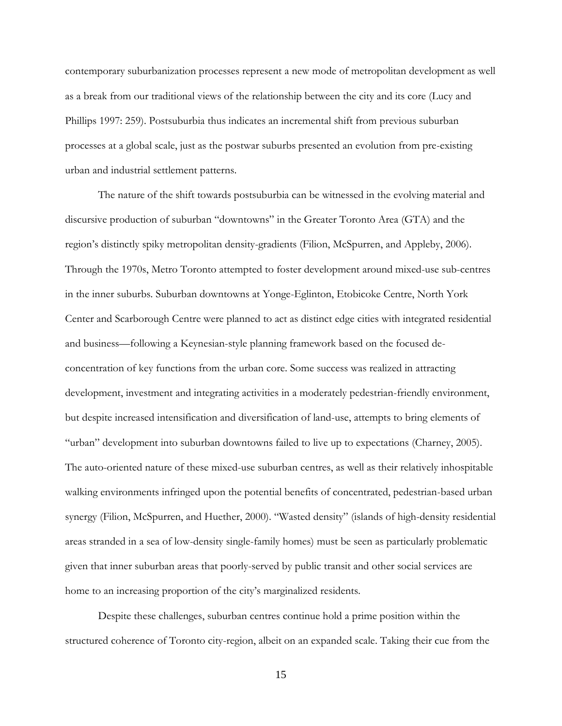contemporary suburbanization processes represent a new mode of metropolitan development as well as a break from our traditional views of the relationship between the city and its core (Lucy and Phillips 1997: 259). Postsuburbia thus indicates an incremental shift from previous suburban processes at a global scale, just as the postwar suburbs presented an evolution from pre-existing urban and industrial settlement patterns.

The nature of the shift towards postsuburbia can be witnessed in the evolving material and discursive production of suburban "downtowns" in the Greater Toronto Area (GTA) and the region's distinctly spiky metropolitan density-gradients (Filion, McSpurren, and Appleby, 2006). Through the 1970s, Metro Toronto attempted to foster development around mixed-use sub-centres in the inner suburbs. Suburban downtowns at Yonge-Eglinton, Etobicoke Centre, North York Center and Scarborough Centre were planned to act as distinct edge cities with integrated residential and business—following a Keynesian-style planning framework based on the focused deconcentration of key functions from the urban core. Some success was realized in attracting development, investment and integrating activities in a moderately pedestrian-friendly environment, but despite increased intensification and diversification of land-use, attempts to bring elements of "urban" development into suburban downtowns failed to live up to expectations (Charney, 2005). The auto-oriented nature of these mixed-use suburban centres, as well as their relatively inhospitable walking environments infringed upon the potential benefits of concentrated, pedestrian-based urban synergy (Filion, McSpurren, and Huether, 2000). "Wasted density" (islands of high-density residential areas stranded in a sea of low-density single-family homes) must be seen as particularly problematic given that inner suburban areas that poorly-served by public transit and other social services are home to an increasing proportion of the city's marginalized residents.

Despite these challenges, suburban centres continue hold a prime position within the structured coherence of Toronto city-region, albeit on an expanded scale. Taking their cue from the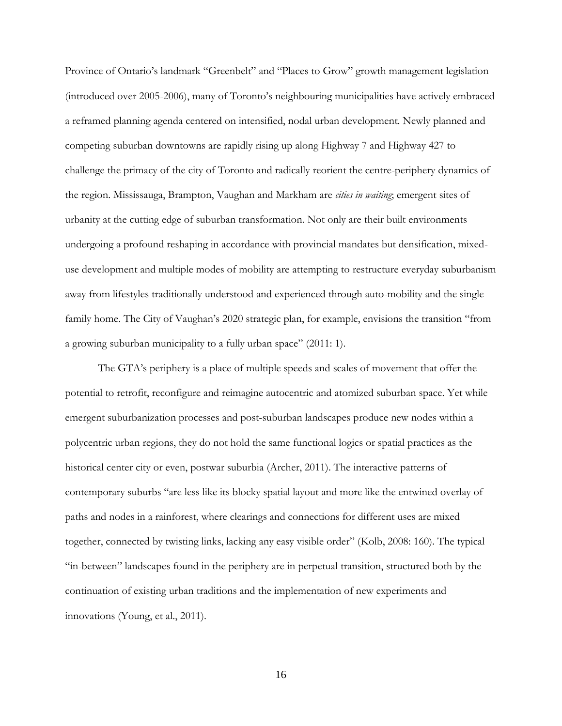Province of Ontario's landmark "Greenbelt" and "Places to Grow" growth management legislation (introduced over 2005-2006), many of Toronto's neighbouring municipalities have actively embraced a reframed planning agenda centered on intensified, nodal urban development. Newly planned and competing suburban downtowns are rapidly rising up along Highway 7 and Highway 427 to challenge the primacy of the city of Toronto and radically reorient the centre-periphery dynamics of the region. Mississauga, Brampton, Vaughan and Markham are *cities in waiting*; emergent sites of urbanity at the cutting edge of suburban transformation. Not only are their built environments undergoing a profound reshaping in accordance with provincial mandates but densification, mixeduse development and multiple modes of mobility are attempting to restructure everyday suburbanism away from lifestyles traditionally understood and experienced through auto-mobility and the single family home. The City of Vaughan's 2020 strategic plan, for example, envisions the transition "from a growing suburban municipality to a fully urban space" (2011: 1).

The GTA's periphery is a place of multiple speeds and scales of movement that offer the potential to retrofit, reconfigure and reimagine autocentric and atomized suburban space. Yet while emergent suburbanization processes and post-suburban landscapes produce new nodes within a polycentric urban regions, they do not hold the same functional logics or spatial practices as the historical center city or even, postwar suburbia (Archer, 2011). The interactive patterns of contemporary suburbs "are less like its blocky spatial layout and more like the entwined overlay of paths and nodes in a rainforest, where clearings and connections for different uses are mixed together, connected by twisting links, lacking any easy visible order" (Kolb, 2008: 160). The typical "in-between" landscapes found in the periphery are in perpetual transition, structured both by the continuation of existing urban traditions and the implementation of new experiments and innovations (Young, et al., 2011).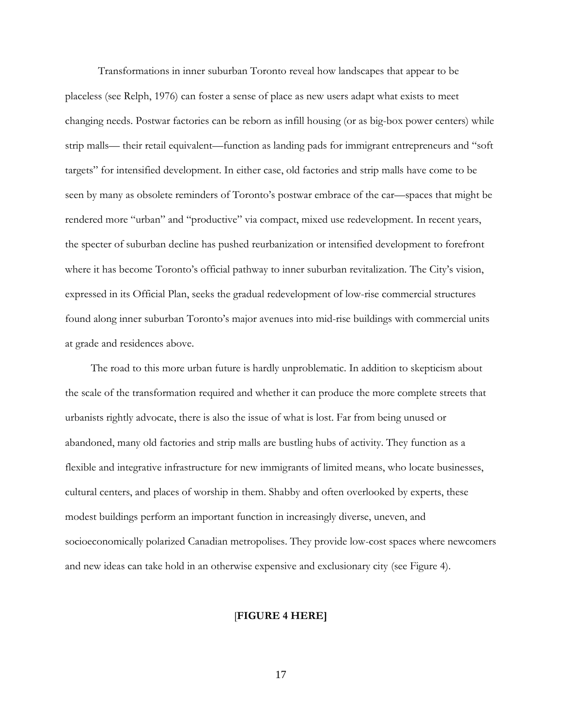Transformations in inner suburban Toronto reveal how landscapes that appear to be placeless (see Relph, 1976) can foster a sense of place as new users adapt what exists to meet changing needs. Postwar factories can be reborn as infill housing (or as big-box power centers) while strip malls— their retail equivalent—function as landing pads for immigrant entrepreneurs and "soft targets" for intensified development. In either case, old factories and strip malls have come to be seen by many as obsolete reminders of Toronto's postwar embrace of the car—spaces that might be rendered more "urban" and "productive" via compact, mixed use redevelopment. In recent years, the specter of suburban decline has pushed reurbanization or intensified development to forefront where it has become Toronto's official pathway to inner suburban revitalization. The City's vision, expressed in its Official Plan, seeks the gradual redevelopment of low-rise commercial structures found along inner suburban Toronto's major avenues into mid-rise buildings with commercial units at grade and residences above.

The road to this more urban future is hardly unproblematic. In addition to skepticism about the scale of the transformation required and whether it can produce the more complete streets that urbanists rightly advocate, there is also the issue of what is lost. Far from being unused or abandoned, many old factories and strip malls are bustling hubs of activity. They function as a flexible and integrative infrastructure for new immigrants of limited means, who locate businesses, cultural centers, and places of worship in them. Shabby and often overlooked by experts, these modest buildings perform an important function in increasingly diverse, uneven, and socioeconomically polarized Canadian metropolises. They provide low-cost spaces where newcomers and new ideas can take hold in an otherwise expensive and exclusionary city (see Figure 4).

## [**FIGURE 4 HERE]**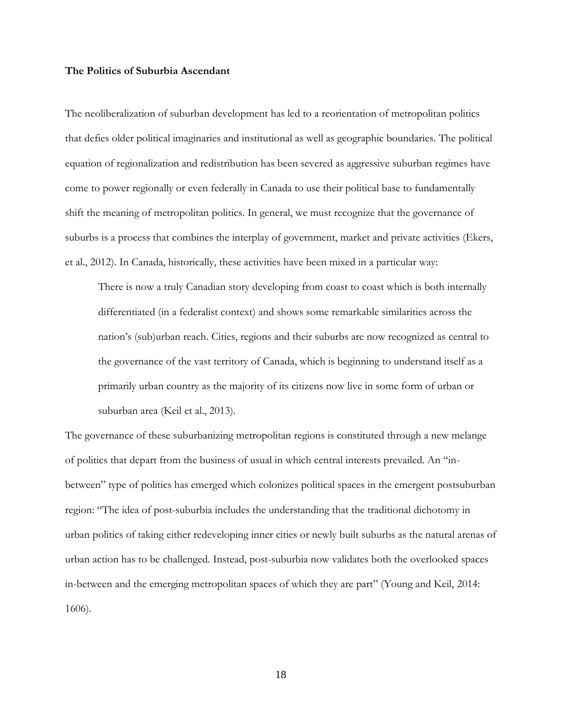## **The Politics of Suburbia Ascendant**

The neoliberalization of suburban development has led to a reorientation of metropolitan politics that defies older political imaginaries and institutional as well as geographic boundaries. The political equation of regionalization and redistribution has been severed as aggressive suburban regimes have come to power regionally or even federally in Canada to use their political base to fundamentally shift the meaning of metropolitan politics. In general, we must recognize that the governance of suburbs is a process that combines the interplay of government, market and private activities (Ekers, et al., 2012). In Canada, historically, these activities have been mixed in a particular way:

There is now a truly Canadian story developing from coast to coast which is both internally differentiated (in a federalist context) and shows some remarkable similarities across the nation's (sub)urban reach. Cities, regions and their suburbs are now recognized as central to the governance of the vast territory of Canada, which is beginning to understand itself as a primarily urban country as the majority of its citizens now live in some form of urban or suburban area (Keil et al., 2013).

The governance of these suburbanizing metropolitan regions is constituted through a new melange of politics that depart from the business of usual in which central interests prevailed. An "inbetween" type of politics has emerged which colonizes political spaces in the emergent postsuburban region: "The idea of post-suburbia includes the understanding that the traditional dichotomy in urban politics of taking either redeveloping inner cities or newly built suburbs as the natural arenas of urban action has to be challenged. Instead, post-suburbia now validates both the overlooked spaces in-between and the emerging metropolitan spaces of which they are part" (Young and Keil, 2014: 1606).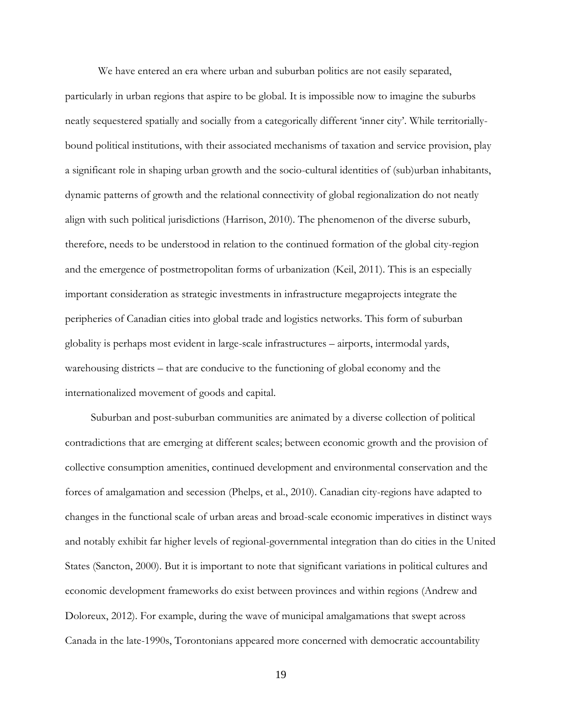We have entered an era where urban and suburban politics are not easily separated, particularly in urban regions that aspire to be global. It is impossible now to imagine the suburbs neatly sequestered spatially and socially from a categorically different 'inner city'. While territoriallybound political institutions, with their associated mechanisms of taxation and service provision, play a significant role in shaping urban growth and the socio-cultural identities of (sub)urban inhabitants, dynamic patterns of growth and the relational connectivity of global regionalization do not neatly align with such political jurisdictions (Harrison, 2010). The phenomenon of the diverse suburb, therefore, needs to be understood in relation to the continued formation of the global city-region and the emergence of postmetropolitan forms of urbanization (Keil, 2011). This is an especially important consideration as strategic investments in infrastructure megaprojects integrate the peripheries of Canadian cities into global trade and logistics networks. This form of suburban globality is perhaps most evident in large-scale infrastructures – airports, intermodal yards, warehousing districts – that are conducive to the functioning of global economy and the internationalized movement of goods and capital.

Suburban and post-suburban communities are animated by a diverse collection of political contradictions that are emerging at different scales; between economic growth and the provision of collective consumption amenities, continued development and environmental conservation and the forces of amalgamation and secession (Phelps, et al., 2010). Canadian city-regions have adapted to changes in the functional scale of urban areas and broad-scale economic imperatives in distinct ways and notably exhibit far higher levels of regional-governmental integration than do cities in the United States (Sancton, 2000). But it is important to note that significant variations in political cultures and economic development frameworks do exist between provinces and within regions (Andrew and Doloreux, 2012). For example, during the wave of municipal amalgamations that swept across Canada in the late-1990s, Torontonians appeared more concerned with democratic accountability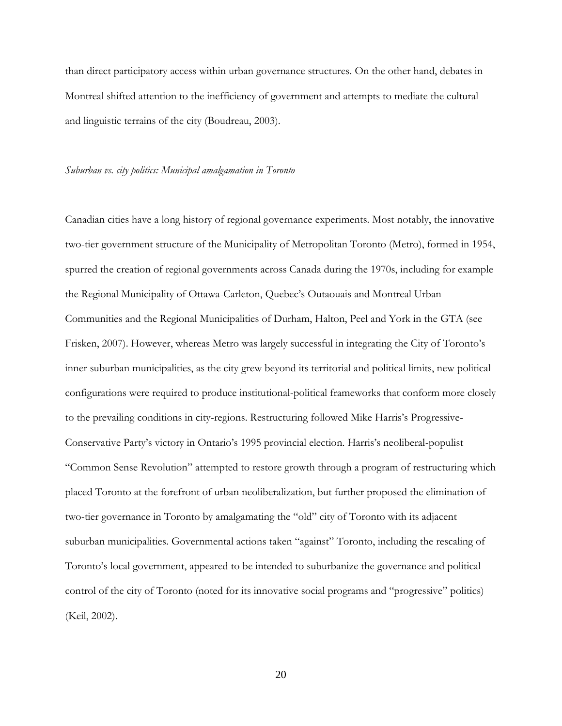than direct participatory access within urban governance structures. On the other hand, debates in Montreal shifted attention to the inefficiency of government and attempts to mediate the cultural and linguistic terrains of the city (Boudreau, 2003).

#### *Suburban vs. city politics: Municipal amalgamation in Toronto*

Canadian cities have a long history of regional governance experiments. Most notably, the innovative two-tier government structure of the Municipality of Metropolitan Toronto (Metro), formed in 1954, spurred the creation of regional governments across Canada during the 1970s, including for example the Regional Municipality of Ottawa-Carleton, Quebec's Outaouais and Montreal Urban Communities and the Regional Municipalities of Durham, Halton, Peel and York in the GTA (see Frisken, 2007). However, whereas Metro was largely successful in integrating the City of Toronto's inner suburban municipalities, as the city grew beyond its territorial and political limits, new political configurations were required to produce institutional-political frameworks that conform more closely to the prevailing conditions in city-regions. Restructuring followed Mike Harris's Progressive-Conservative Party's victory in Ontario's 1995 provincial election. Harris's neoliberal-populist "Common Sense Revolution" attempted to restore growth through a program of restructuring which placed Toronto at the forefront of urban neoliberalization, but further proposed the elimination of two-tier governance in Toronto by amalgamating the "old" city of Toronto with its adjacent suburban municipalities. Governmental actions taken "against" Toronto, including the rescaling of Toronto's local government, appeared to be intended to suburbanize the governance and political control of the city of Toronto (noted for its innovative social programs and "progressive" politics) (Keil, 2002).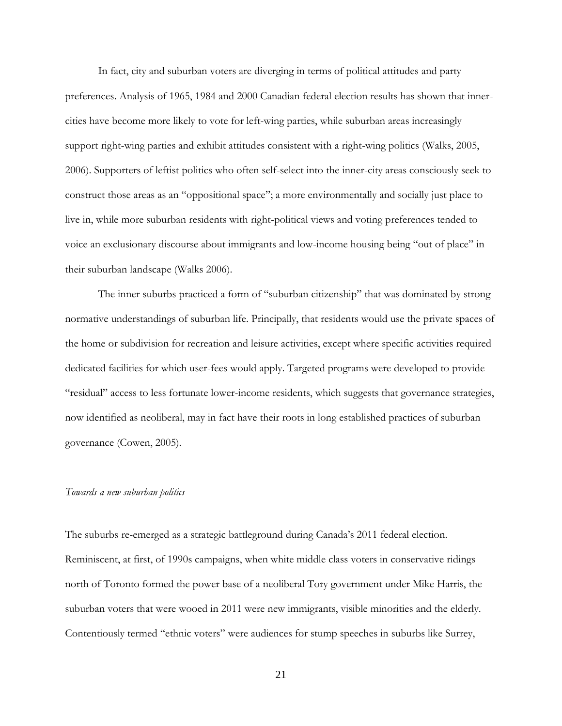In fact, city and suburban voters are diverging in terms of political attitudes and party preferences. Analysis of 1965, 1984 and 2000 Canadian federal election results has shown that innercities have become more likely to vote for left-wing parties, while suburban areas increasingly support right-wing parties and exhibit attitudes consistent with a right-wing politics (Walks, 2005, 2006). Supporters of leftist politics who often self-select into the inner-city areas consciously seek to construct those areas as an "oppositional space"; a more environmentally and socially just place to live in, while more suburban residents with right-political views and voting preferences tended to voice an exclusionary discourse about immigrants and low-income housing being "out of place" in their suburban landscape (Walks 2006).

The inner suburbs practiced a form of "suburban citizenship" that was dominated by strong normative understandings of suburban life. Principally, that residents would use the private spaces of the home or subdivision for recreation and leisure activities, except where specific activities required dedicated facilities for which user-fees would apply. Targeted programs were developed to provide "residual" access to less fortunate lower-income residents, which suggests that governance strategies, now identified as neoliberal, may in fact have their roots in long established practices of suburban governance (Cowen, 2005).

#### *Towards a new suburban politics*

The suburbs re-emerged as a strategic battleground during Canada's 2011 federal election. Reminiscent, at first, of 1990s campaigns, when white middle class voters in conservative ridings north of Toronto formed the power base of a neoliberal Tory government under Mike Harris, the suburban voters that were wooed in 2011 were new immigrants, visible minorities and the elderly. Contentiously termed "ethnic voters" were audiences for stump speeches in suburbs like Surrey,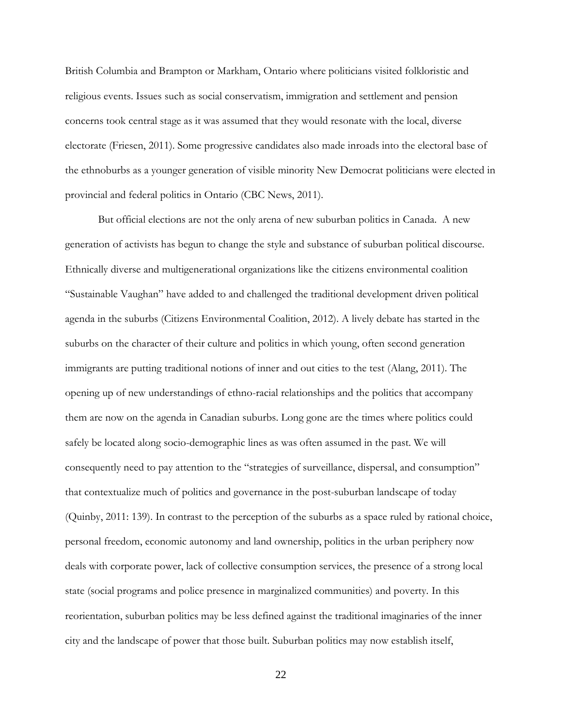British Columbia and Brampton or Markham, Ontario where politicians visited folkloristic and religious events. Issues such as social conservatism, immigration and settlement and pension concerns took central stage as it was assumed that they would resonate with the local, diverse electorate (Friesen, 2011). Some progressive candidates also made inroads into the electoral base of the ethnoburbs as a younger generation of visible minority New Democrat politicians were elected in provincial and federal politics in Ontario (CBC News, 2011).

But official elections are not the only arena of new suburban politics in Canada. A new generation of activists has begun to change the style and substance of suburban political discourse. Ethnically diverse and multigenerational organizations like the citizens environmental coalition "Sustainable Vaughan" have added to and challenged the traditional development driven political agenda in the suburbs (Citizens Environmental Coalition, 2012). A lively debate has started in the suburbs on the character of their culture and politics in which young, often second generation immigrants are putting traditional notions of inner and out cities to the test (Alang, 2011). The opening up of new understandings of ethno-racial relationships and the politics that accompany them are now on the agenda in Canadian suburbs. Long gone are the times where politics could safely be located along socio-demographic lines as was often assumed in the past. We will consequently need to pay attention to the "strategies of surveillance, dispersal, and consumption" that contextualize much of politics and governance in the post-suburban landscape of today (Quinby, 2011: 139). In contrast to the perception of the suburbs as a space ruled by rational choice, personal freedom, economic autonomy and land ownership, politics in the urban periphery now deals with corporate power, lack of collective consumption services, the presence of a strong local state (social programs and police presence in marginalized communities) and poverty. In this reorientation, suburban politics may be less defined against the traditional imaginaries of the inner city and the landscape of power that those built. Suburban politics may now establish itself,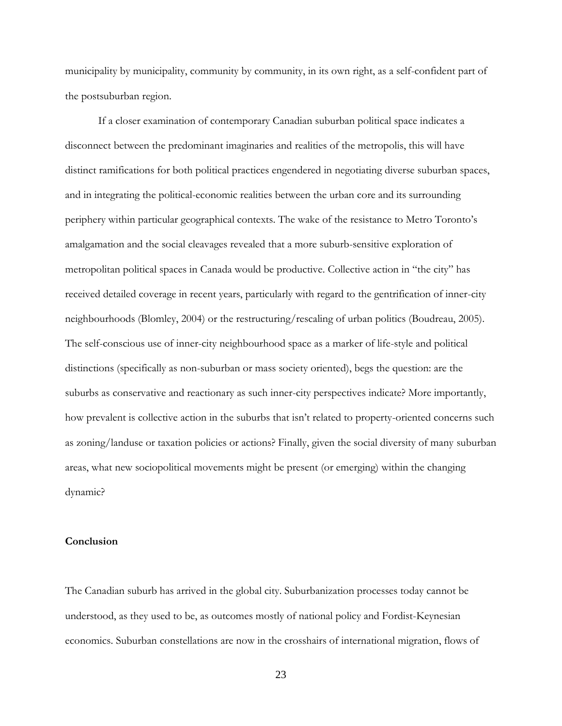municipality by municipality, community by community, in its own right, as a self-confident part of the postsuburban region.

If a closer examination of contemporary Canadian suburban political space indicates a disconnect between the predominant imaginaries and realities of the metropolis, this will have distinct ramifications for both political practices engendered in negotiating diverse suburban spaces, and in integrating the political-economic realities between the urban core and its surrounding periphery within particular geographical contexts. The wake of the resistance to Metro Toronto's amalgamation and the social cleavages revealed that a more suburb-sensitive exploration of metropolitan political spaces in Canada would be productive. Collective action in "the city" has received detailed coverage in recent years, particularly with regard to the gentrification of inner-city neighbourhoods (Blomley, 2004) or the restructuring/rescaling of urban politics (Boudreau, 2005). The self-conscious use of inner-city neighbourhood space as a marker of life-style and political distinctions (specifically as non-suburban or mass society oriented), begs the question: are the suburbs as conservative and reactionary as such inner-city perspectives indicate? More importantly, how prevalent is collective action in the suburbs that isn't related to property-oriented concerns such as zoning/landuse or taxation policies or actions? Finally, given the social diversity of many suburban areas, what new sociopolitical movements might be present (or emerging) within the changing dynamic?

## **Conclusion**

The Canadian suburb has arrived in the global city. Suburbanization processes today cannot be understood, as they used to be, as outcomes mostly of national policy and Fordist-Keynesian economics. Suburban constellations are now in the crosshairs of international migration, flows of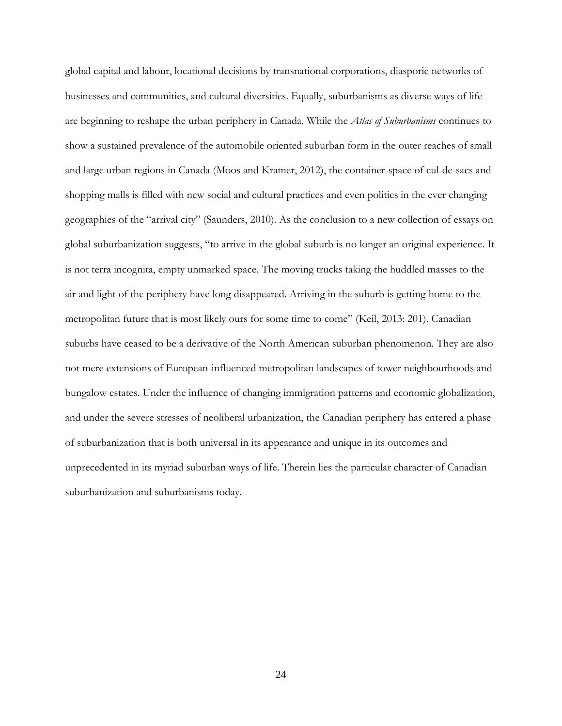global capital and labour, locational decisions by transnational corporations, diasporic networks of businesses and communities, and cultural diversities. Equally, suburbanisms as diverse ways of life are beginning to reshape the urban periphery in Canada. While the *Atlas of Suburbanisms* continues to show a sustained prevalence of the automobile oriented suburban form in the outer reaches of small and large urban regions in Canada (Moos and Kramer, 2012), the container-space of cul-de-sacs and shopping malls is filled with new social and cultural practices and even politics in the ever changing geographies of the "arrival city" (Saunders, 2010). As the conclusion to a new collection of essays on global suburbanization suggests, "to arrive in the global suburb is no longer an original experience. It is not terra incognita, empty unmarked space. The moving trucks taking the huddled masses to the air and light of the periphery have long disappeared. Arriving in the suburb is getting home to the metropolitan future that is most likely ours for some time to come" (Keil, 2013: 201). Canadian suburbs have ceased to be a derivative of the North American suburban phenomenon. They are also not mere extensions of European-influenced metropolitan landscapes of tower neighbourhoods and bungalow estates. Under the influence of changing immigration patterns and economic globalization, and under the severe stresses of neoliberal urbanization, the Canadian periphery has entered a phase of suburbanization that is both universal in its appearance and unique in its outcomes and unprecedented in its myriad suburban ways of life. Therein lies the particular character of Canadian suburbanization and suburbanisms today.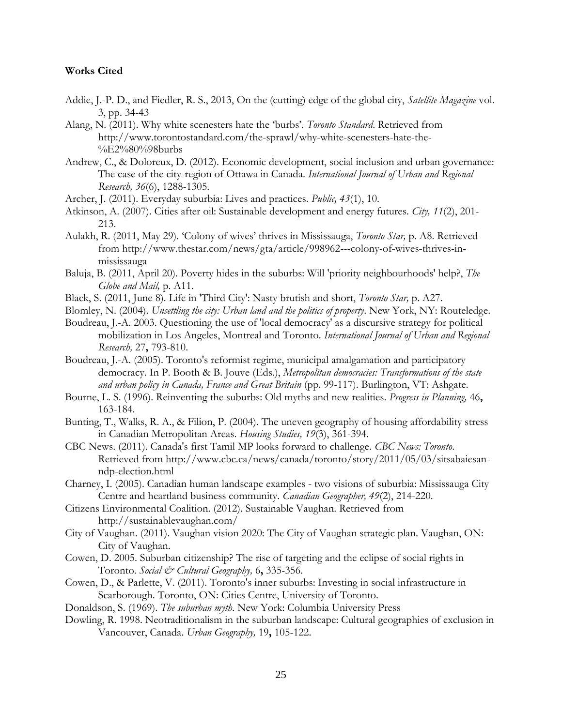## **Works Cited**

- Addie, J.-P. D., and Fiedler, R. S., 2013, On the (cutting) edge of the global city, *Satellite Magazine* vol. 3, pp. 34-43
- Alang, N. (2011). Why white scenesters hate the 'burbs'. *Toronto Standard*. Retrieved from http://www.torontostandard.com/the-sprawl/why-white-scenesters-hate-the- %E2%80%98burbs
- Andrew, C., & Doloreux, D. (2012). Economic development, social inclusion and urban governance: The case of the city-region of Ottawa in Canada. *International Journal of Urban and Regional Research, 36*(6), 1288-1305.
- Archer, J. (2011). Everyday suburbia: Lives and practices. *Public, 43*(1), 10.
- Atkinson, A. (2007). Cities after oil: Sustainable development and energy futures. *City, 11*(2), 201- 213.
- Aulakh, R. (2011, May 29). 'Colony of wives' thrives in Mississauga, *Toronto Star,* p. A8. Retrieved from http://www.thestar.com/news/gta/article/998962---colony-of-wives-thrives-inmississauga
- Baluja, B. (2011, April 20). Poverty hides in the suburbs: Will 'priority neighbourhoods' help?, *The Globe and Mail,* p. A11.
- Black, S. (2011, June 8). Life in 'Third City': Nasty brutish and short, *Toronto Star,* p. A27.
- Blomley, N. (2004). *Unsettling the city: Urban land and the politics of property*. New York, NY: Routeledge.
- Boudreau, J.-A. 2003. Questioning the use of 'local democracy' as a discursive strategy for political mobilization in Los Angeles, Montreal and Toronto. *International Journal of Urban and Regional Research,* 27**,** 793-810.
- Boudreau, J.-A. (2005). Toronto's reformist regime, municipal amalgamation and participatory democracy. In P. Booth & B. Jouve (Eds.), *Metropolitan democracies: Transformations of the state and urban policy in Canada, France and Great Britain* (pp. 99-117). Burlington, VT: Ashgate.
- Bourne, L. S. (1996). Reinventing the suburbs: Old myths and new realities. *Progress in Planning,* 46**,** 163-184.
- Bunting, T., Walks, R. A., & Filion, P. (2004). The uneven geography of housing affordability stress in Canadian Metropolitan Areas. *Housing Studies, 19*(3), 361-394.
- CBC News. (2011). Canada's first Tamil MP looks forward to challenge. *CBC News: Toronto*. Retrieved from http://www.cbc.ca/news/canada/toronto/story/2011/05/03/sitsabaiesanndp-election.html
- Charney, I. (2005). Canadian human landscape examples two visions of suburbia: Mississauga City Centre and heartland business community. *Canadian Geographer, 49*(2), 214-220.
- Citizens Environmental Coalition. (2012). Sustainable Vaughan. Retrieved from http://sustainablevaughan.com/
- City of Vaughan. (2011). Vaughan vision 2020: The City of Vaughan strategic plan. Vaughan, ON: City of Vaughan.
- Cowen, D. 2005. Suburban citizenship? The rise of targeting and the eclipse of social rights in Toronto. *Social & Cultural Geography,* 6**,** 335-356.
- Cowen, D., & Parlette, V. (2011). Toronto's inner suburbs: Investing in social infrastructure in Scarborough. Toronto, ON: Cities Centre, University of Toronto.
- Donaldson, S. (1969). *The suburban myth*. New York: Columbia University Press
- Dowling, R. 1998. Neotraditionalism in the suburban landscape: Cultural geographies of exclusion in Vancouver, Canada. *Urban Geography,* 19**,** 105-122.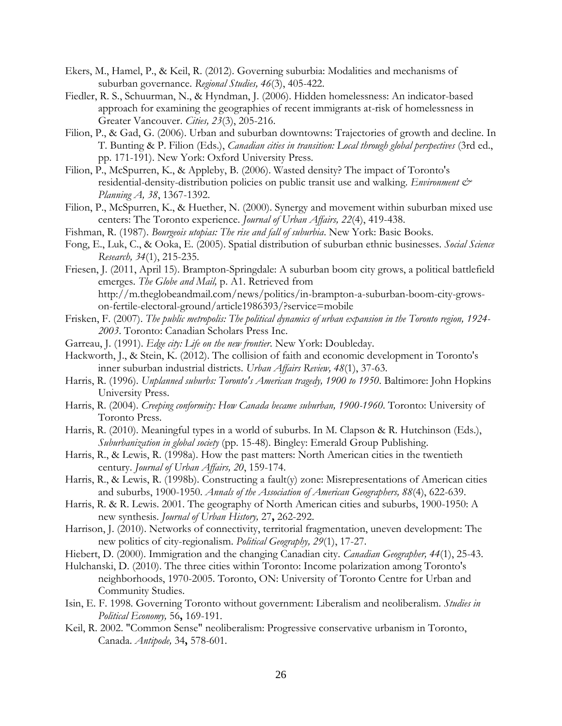- Ekers, M., Hamel, P., & Keil, R. (2012). Governing suburbia: Modalities and mechanisms of suburban governance. *Regional Studies, 46*(3), 405-422.
- Fiedler, R. S., Schuurman, N., & Hyndman, J. (2006). Hidden homelessness: An indicator-based approach for examining the geographies of recent immigrants at-risk of homelessness in Greater Vancouver. *Cities, 23*(3), 205-216.
- Filion, P., & Gad, G. (2006). Urban and suburban downtowns: Trajectories of growth and decline. In T. Bunting & P. Filion (Eds.), *Canadian cities in transition: Local through global perspectives* (3rd ed., pp. 171-191). New York: Oxford University Press.
- Filion, P., McSpurren, K., & Appleby, B. (2006). Wasted density? The impact of Toronto's residential-density-distribution policies on public transit use and walking. *Environment & Planning A, 38*, 1367-1392.
- Filion, P., McSpurren, K., & Huether, N. (2000). Synergy and movement within suburban mixed use centers: The Toronto experience. *Journal of Urban Affairs, 22*(4), 419-438.
- Fishman, R. (1987). *Bourgeois utopias: The rise and fall of suburbia*. New York: Basic Books.
- Fong, E., Luk, C., & Ooka, E. (2005). Spatial distribution of suburban ethnic businesses. *Social Science Research, 34*(1), 215-235.
- Friesen, J. (2011, April 15). Brampton-Springdale: A suburban boom city grows, a political battlefield emerges. *The Globe and Mail,* p. A1. Retrieved from http://m.theglobeandmail.com/news/politics/in-brampton-a-suburban-boom-city-growson-fertile-electoral-ground/article1986393/?service=mobile
- Frisken, F. (2007). *The public metropolis: The political dynamics of urban expansion in the Toronto region, 1924- 2003*. Toronto: Canadian Scholars Press Inc.
- Garreau, J. (1991). *Edge city: Life on the new frontier*. New York: Doubleday.
- Hackworth, J., & Stein, K. (2012). The collision of faith and economic development in Toronto's inner suburban industrial districts. *Urban Affairs Review, 48*(1), 37-63.
- Harris, R. (1996). *Unplanned suburbs: Toronto's American tragedy, 1900 to 1950*. Baltimore: John Hopkins University Press.
- Harris, R. (2004). *Creeping conformity: How Canada became suburban, 1900-1960*. Toronto: University of Toronto Press.
- Harris, R. (2010). Meaningful types in a world of suburbs. In M. Clapson & R. Hutchinson (Eds.), *Suburbanization in global society* (pp. 15-48). Bingley: Emerald Group Publishing.
- Harris, R., & Lewis, R. (1998a). How the past matters: North American cities in the twentieth century. *Journal of Urban Affairs, 20*, 159-174.
- Harris, R., & Lewis, R. (1998b). Constructing a fault(y) zone: Misrepresentations of American cities and suburbs, 1900-1950. *Annals of the Association of American Geographers, 88*(4), 622-639.
- Harris, R. & R. Lewis. 2001. The geography of North American cities and suburbs, 1900-1950: A new synthesis. *Journal of Urban History,* 27**,** 262-292.
- Harrison, J. (2010). Networks of connectivity, territorial fragmentation, uneven development: The new politics of city-regionalism. *Political Geography, 29*(1), 17-27.
- Hiebert, D. (2000). Immigration and the changing Canadian city. *Canadian Geographer, 44*(1), 25-43.
- Hulchanski, D. (2010). The three cities within Toronto: Income polarization among Toronto's neighborhoods, 1970-2005. Toronto, ON: University of Toronto Centre for Urban and Community Studies.
- Isin, E. F. 1998. Governing Toronto without government: Liberalism and neoliberalism. *Studies in Political Economy,* 56**,** 169-191.
- Keil, R. 2002. "Common Sense" neoliberalism: Progressive conservative urbanism in Toronto, Canada. *Antipode,* 34**,** 578-601.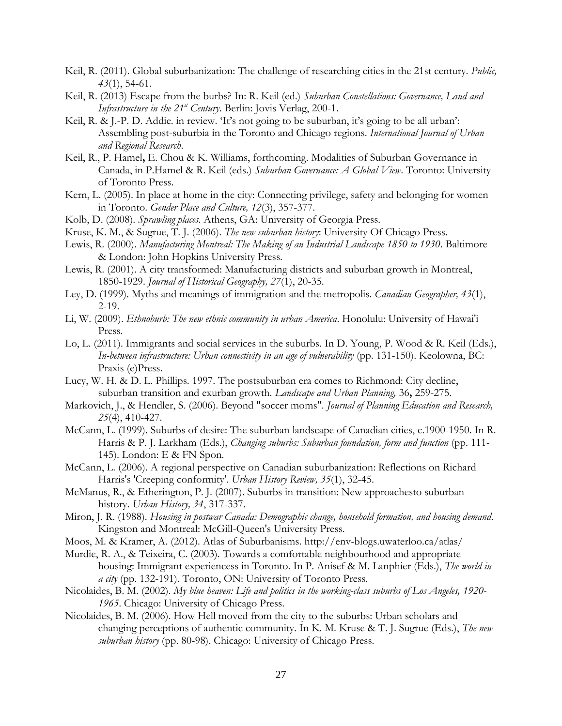- Keil, R. (2011). Global suburbanization: The challenge of researching cities in the 21st century. *Public, 43*(1), 54-61.
- Keil, R. (2013) Escape from the burbs? In: R. Keil (ed.) *Suburban Constellations: Governance, Land and Infrastructure in the 21<sup>st</sup> Century*. Berlin: Jovis Verlag, 200-1.
- Keil, R. & J.-P. D. Addie. in review. 'It's not going to be suburban, it's going to be all urban': Assembling post-suburbia in the Toronto and Chicago regions. *International Journal of Urban and Regional Research*.
- Keil, R., P. Hamel**,** E. Chou & K. Williams, forthcoming. Modalities of Suburban Governance in Canada, in P.Hamel & R. Keil (eds.) *Suburban Governance: A Global View*. Toronto: University of Toronto Press.
- Kern, L. (2005). In place at home in the city: Connecting privilege, safety and belonging for women in Toronto. *Gender Place and Culture, 12*(3), 357-377.
- Kolb, D. (2008). *Sprawling places*. Athens, GA: University of Georgia Press.
- Kruse, K. M., & Sugrue, T. J. (2006). *The new suburban history*: University Of Chicago Press.
- Lewis, R. (2000). *Manufacturing Montreal: The Making of an Industrial Landscape 1850 to 1930*. Baltimore & London: John Hopkins University Press.
- Lewis, R. (2001). A city transformed: Manufacturing districts and suburban growth in Montreal, 1850-1929. *Journal of Historical Geography, 27*(1), 20-35.
- Ley, D. (1999). Myths and meanings of immigration and the metropolis. *Canadian Geographer, 43*(1), 2-19.
- Li, W. (2009). *Ethnoburb: The new ethnic community in urban America*. Honolulu: University of Hawai'i Press.
- Lo, L. (2011). Immigrants and social services in the suburbs. In D. Young, P. Wood & R. Keil (Eds.), *In-between infrastructure: Urban connectivity in an age of vulnerability* (pp. 131-150). Keolowna, BC: Praxis (e)Press.
- Lucy, W. H. & D. L. Phillips. 1997. The postsuburban era comes to Richmond: City decline, suburban transition and exurban growth. *Landscape and Urban Planning,* 36**,** 259-275.
- Markovich, J., & Hendler, S. (2006). Beyond "soccer moms". *Journal of Planning Education and Research, 25*(4), 410-427.
- McCann, L. (1999). Suburbs of desire: The suburban landscape of Canadian cities, c.1900-1950. In R. Harris & P. J. Larkham (Eds.), *Changing suburbs: Suburban foundation, form and function* (pp. 111- 145). London: E & FN Spon.
- McCann, L. (2006). A regional perspective on Canadian suburbanization: Reflections on Richard Harris's 'Creeping conformity'. *Urban History Review, 35*(1), 32-45.
- McManus, R., & Etherington, P. J. (2007). Suburbs in transition: New approachesto suburban history. *Urban History, 34*, 317-337.
- Miron, J. R. (1988). *Housing in postwar Canada: Demographic change, household formation, and housing demand*. Kingston and Montreal: McGill-Queen's University Press.
- Moos, M. & Kramer, A. (2012). Atlas of Suburbanisms. http://env-blogs.uwaterloo.ca/atlas/
- Murdie, R. A., & Teixeira, C. (2003). Towards a comfortable neighbourhood and appropriate housing: Immigrant experiencess in Toronto. In P. Anisef & M. Lanphier (Eds.), *The world in a city* (pp. 132-191). Toronto, ON: University of Toronto Press.
- Nicolaides, B. M. (2002). *My blue heaven: Life and politics in the working-class suburbs of Los Angeles, 1920- 1965*. Chicago: University of Chicago Press.
- Nicolaides, B. M. (2006). How Hell moved from the city to the suburbs: Urban scholars and changing perceptions of authentic community. In K. M. Kruse & T. J. Sugrue (Eds.), *The new suburban history* (pp. 80-98). Chicago: University of Chicago Press.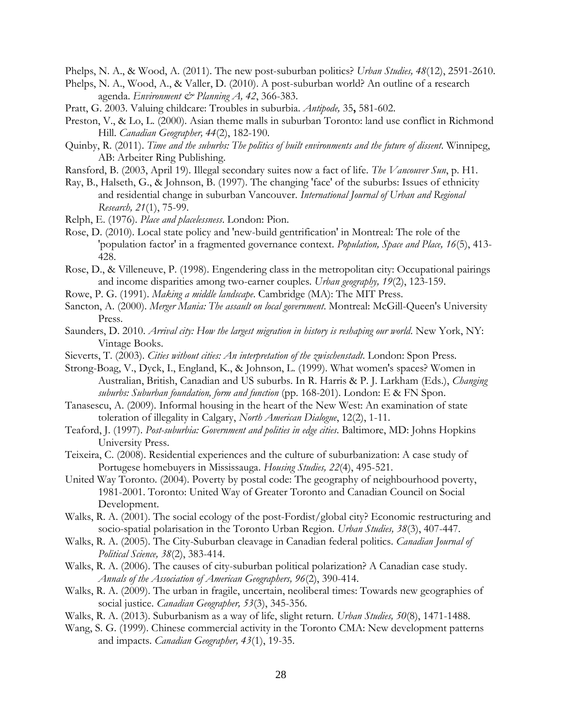Phelps, N. A., & Wood, A. (2011). The new post-suburban politics? *Urban Studies, 48*(12), 2591-2610.

- Phelps, N. A., Wood, A., & Valler, D. (2010). A post-suburban world? An outline of a research agenda. *Environment & Planning A, 42*, 366-383.
- Pratt, G. 2003. Valuing childcare: Troubles in suburbia. *Antipode,* 35**,** 581-602.
- Preston, V., & Lo, L. (2000). Asian theme malls in suburban Toronto: land use conflict in Richmond Hill. *Canadian Geographer, 44*(2), 182-190.
- Quinby, R. (2011). *Time and the suburbs: The politics of built environments and the future of dissent*. Winnipeg, AB: Arbeiter Ring Publishing.
- Ransford, B. (2003, April 19). Illegal secondary suites now a fact of life. *The Vancouver Sun*, p. H1.
- Ray, B., Halseth, G., & Johnson, B. (1997). The changing 'face' of the suburbs: Issues of ethnicity and residential change in suburban Vancouver. *International Journal of Urban and Regional Research, 21*(1), 75-99.
- Relph, E. (1976). *Place and placelessness*. London: Pion.
- Rose, D. (2010). Local state policy and 'new-build gentrification' in Montreal: The role of the 'population factor' in a fragmented governance context. *Population, Space and Place, 16*(5), 413- 428.
- Rose, D., & Villeneuve, P. (1998). Engendering class in the metropolitan city: Occupational pairings and income disparities among two-earner couples. *Urban geography, 19*(2), 123-159.
- Rowe, P. G. (1991). *Making a middle landscape*. Cambridge (MA): The MIT Press.
- Sancton, A. (2000). *Merger Mania: The assault on local government*. Montreal: McGill-Queen's University Press.
- Saunders, D. 2010. *Arrival city: How the largest migration in history is reshaping our world*. New York, NY: Vintage Books.
- Sieverts, T. (2003). *Cities without cities: An interpretation of the zwischenstadt*. London: Spon Press.
- Strong-Boag, V., Dyck, I., England, K., & Johnson, L. (1999). What women's spaces? Women in Australian, British, Canadian and US suburbs. In R. Harris & P. J. Larkham (Eds.), *Changing suburbs: Suburban foundation, form and function* (pp. 168-201). London: E & FN Spon.
- Tanasescu, A. (2009). Informal housing in the heart of the New West: An examination of state toleration of illegality in Calgary, *North American Dialogue*, 12(2), 1-11.
- Teaford, J. (1997). *Post-suburbia: Government and polities in edge cities*. Baltimore, MD: Johns Hopkins University Press.
- Teixeira, C. (2008). Residential experiences and the culture of suburbanization: A case study of Portugese homebuyers in Mississauga. *Housing Studies, 22*(4), 495-521.
- United Way Toronto. (2004). Poverty by postal code: The geography of neighbourhood poverty, 1981-2001. Toronto: United Way of Greater Toronto and Canadian Council on Social Development.
- Walks, R. A. (2001). The social ecology of the post-Fordist/global city? Economic restructuring and socio-spatial polarisation in the Toronto Urban Region. *Urban Studies, 38*(3), 407-447.
- Walks, R. A. (2005). The City-Suburban cleavage in Canadian federal politics. *Canadian Journal of Political Science, 38*(2), 383-414.
- Walks, R. A. (2006). The causes of city-suburban political polarization? A Canadian case study. *Annals of the Association of American Geographers, 96*(2), 390-414.
- Walks, R. A. (2009). The urban in fragile, uncertain, neoliberal times: Towards new geographies of social justice. *Canadian Geographer, 53*(3), 345-356.
- Walks, R. A. (2013). Suburbanism as a way of life, slight return. *Urban Studies, 50*(8), 1471-1488.
- Wang, S. G. (1999). Chinese commercial activity in the Toronto CMA: New development patterns and impacts. *Canadian Geographer, 43*(1), 19-35.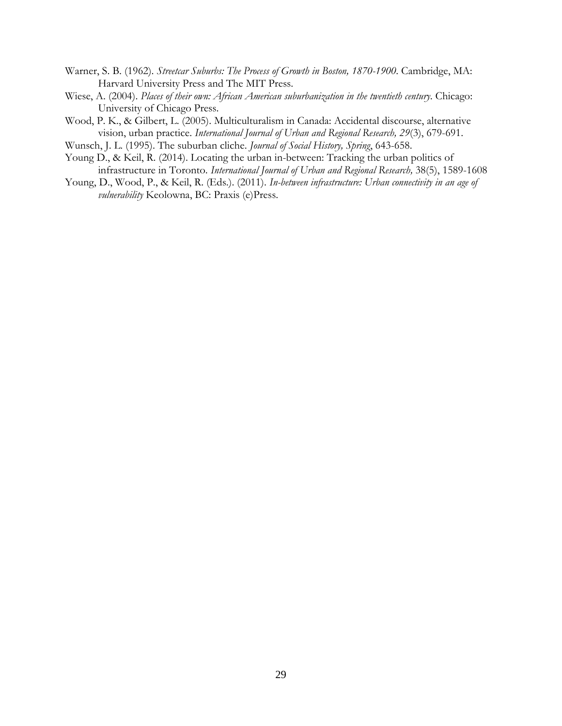- Warner, S. B. (1962). *Streetcar Suburbs: The Process of Growth in Boston, 1870-1900*. Cambridge, MA: Harvard University Press and The MIT Press.
- Wiese, A. (2004). *Places of their own: African American suburbanization in the twentieth century*. Chicago: University of Chicago Press.
- Wood, P. K., & Gilbert, L. (2005). Multiculturalism in Canada: Accidental discourse, alternative vision, urban practice. *International Journal of Urban and Regional Research, 29*(3), 679-691.
- Wunsch, J. L. (1995). The suburban cliche. *Journal of Social History, Spring*, 643-658.
- Young D., & Keil, R. (2014). Locating the urban in-between: Tracking the urban politics of infrastructure in Toronto. *International Journal of Urban and Regional Research,* 38(5), 1589-1608
- Young, D., Wood, P., & Keil, R. (Eds.). (2011). *In-between infrastructure: Urban connectivity in an age of vulnerability* Keolowna, BC: Praxis (e)Press.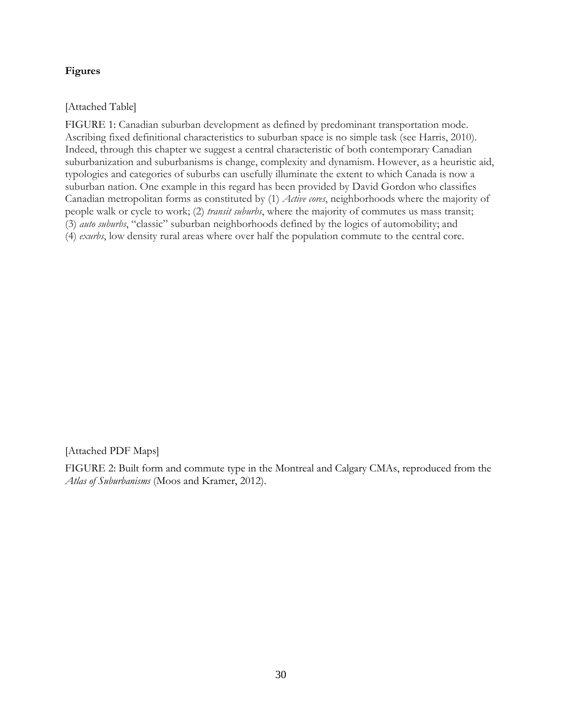# **Figures**

[Attached Table]

FIGURE 1: Canadian suburban development as defined by predominant transportation mode. Ascribing fixed definitional characteristics to suburban space is no simple task (see Harris, 2010). Indeed, through this chapter we suggest a central characteristic of both contemporary Canadian suburbanization and suburbanisms is change, complexity and dynamism. However, as a heuristic aid, typologies and categories of suburbs can usefully illuminate the extent to which Canada is now a suburban nation. One example in this regard has been provided by David Gordon who classifies Canadian metropolitan forms as constituted by (1) *Active cores*, neighborhoods where the majority of people walk or cycle to work; (2) *transit suburbs*, where the majority of commutes us mass transit; (3) *auto suburbs*, "classic" suburban neighborhoods defined by the logics of automobility; and (4) *exurbs*, low density rural areas where over half the population commute to the central core.

[Attached PDF Maps]

FIGURE 2: Built form and commute type in the Montreal and Calgary CMAs, reproduced from the *Atlas of Suburbanisms* (Moos and Kramer, 2012).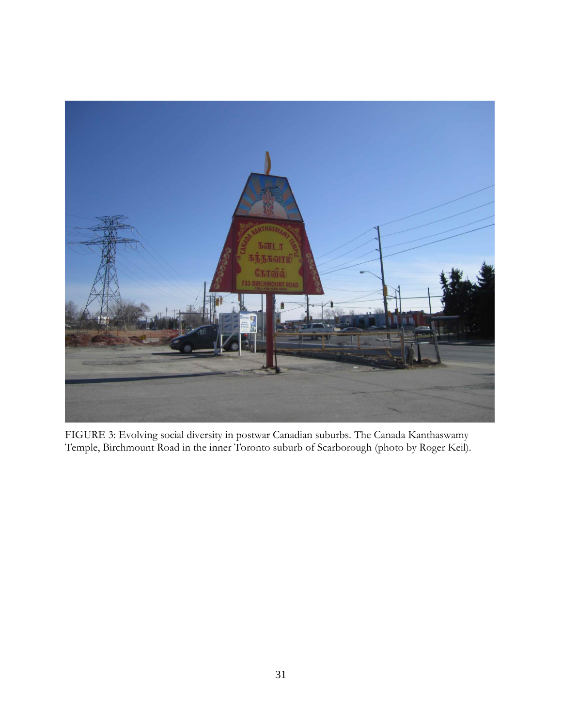

FIGURE 3: Evolving social diversity in postwar Canadian suburbs. The Canada Kanthaswamy Temple, Birchmount Road in the inner Toronto suburb of Scarborough (photo by Roger Keil).